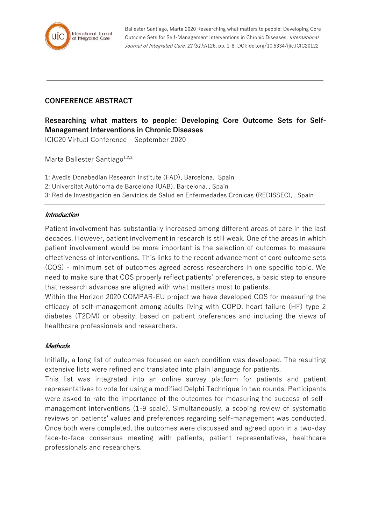

Ballester Santiago, Marta 2020 Researching what matters to people: Developing Core Outcome Sets for Self-Management Interventions in Chronic Diseases. International Journal of Integrated Care, 21(S1):A126, pp. 1-8, DOI: doi.org/10.5334/ijic.ICIC20122

# **CONFERENCE ABSTRACT**

**Researching what matters to people: Developing Core Outcome Sets for Self-Management Interventions in Chronic Diseases** ICIC20 Virtual Conference – September 2020

Marta Ballester Santiago $1,2,3$ ,

1: Avedis Donabedian Research Institute (FAD), Barcelona, Spain

2: Universitat Autònoma de Barcelona (UAB), Barcelona, , Spain

3: Red de Investigación en Servicios de Salud en Enfermedades Crónicas (REDISSEC), , Spain

#### **Introduction**

Patient involvement has substantially increased among different areas of care in the last decades. However, patient involvement in research is still weak. One of the areas in which patient involvement would be more important is the selection of outcomes to measure effectiveness of interventions. This links to the recent advancement of core outcome sets (COS) - minimum set of outcomes agreed across researchers in one specific topic. We need to make sure that COS properly reflect patients' preferences, a basic step to ensure that research advances are aligned with what matters most to patients.

Within the Horizon 2020 COMPAR-EU project we have developed COS for measuring the efficacy of self-management among adults living with COPD, heart failure (HF) type 2 diabetes (T2DM) or obesity, based on patient preferences and including the views of healthcare professionals and researchers.

#### **Methods**

Initially, a long list of outcomes focused on each condition was developed. The resulting extensive lists were refined and translated into plain language for patients.

This list was integrated into an online survey platform for patients and patient representatives to vote for using a modified Delphi Technique in two rounds. Participants were asked to rate the importance of the outcomes for measuring the success of selfmanagement interventions (1-9 scale). Simultaneously, a scoping review of systematic reviews on patients' values and preferences regarding self-management was conducted. Once both were completed, the outcomes were discussed and agreed upon in a two-day face-to-face consensus meeting with patients, patient representatives, healthcare professionals and researchers.